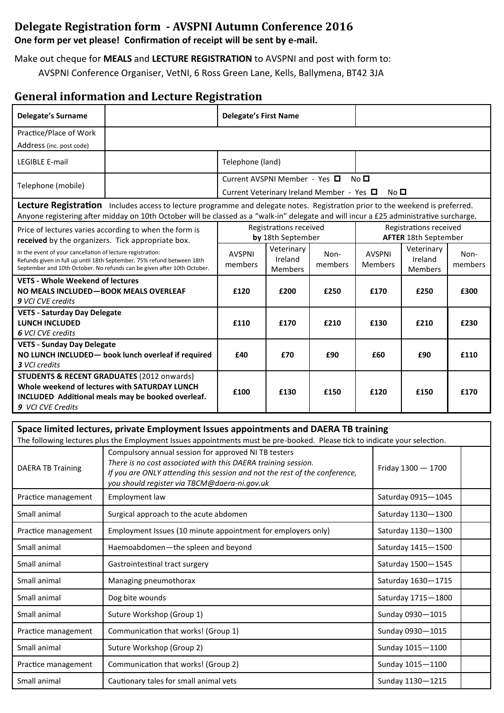## **Delegate Registration form - AVSPNI Autumn Conference 2016**

**One form per vet please! Confirmation of receipt will be sent by e-mail.**

Make out cheque for **MEALS** and **LECTURE REGISTRATION** to AVSPNI and post with form to:

AVSPNI Conference Organiser, VetNI, 6 Ross Green Lane, Kells, Ballymena, BT42 3JA

## **General information and Lecture Registration**

| <b>Delegate's Surname</b>                                     |                                                                                                                                                                                             | <b>Delegate's First Name</b> |                                             |                                           |                                 |             |                                                       |                 |
|---------------------------------------------------------------|---------------------------------------------------------------------------------------------------------------------------------------------------------------------------------------------|------------------------------|---------------------------------------------|-------------------------------------------|---------------------------------|-------------|-------------------------------------------------------|-----------------|
| Practice/Place of Work                                        |                                                                                                                                                                                             |                              |                                             |                                           |                                 |             |                                                       |                 |
| Address (inc. post code)                                      |                                                                                                                                                                                             |                              |                                             |                                           |                                 |             |                                                       |                 |
| LEGIBLE E-mail                                                |                                                                                                                                                                                             | Telephone (land)             |                                             |                                           |                                 |             |                                                       |                 |
| Telephone (mobile)                                            |                                                                                                                                                                                             |                              | Current AVSPNI Member - Yes □               | Current Veterinary Ireland Member - Yes □ | No <sub>D</sub>                 | No <b>□</b> |                                                       |                 |
|                                                               | Lecture Registration Includes access to lecture programme and delegate notes. Registration prior to the weekend is preferred.                                                               |                              |                                             |                                           |                                 |             |                                                       |                 |
|                                                               | Anyone registering after midday on 10th October will be classed as a "walk-in" delegate and will incur a £25 administrative surcharge.                                                      |                              |                                             |                                           |                                 |             |                                                       |                 |
|                                                               | Price of lectures varies according to when the form is<br>received by the organizers. Tick appropriate box.                                                                                 |                              | Registrations received<br>by 18th September |                                           |                                 |             | Registrations received<br><b>AFTER 18th September</b> |                 |
| In the event of your cancellation of lecture registration:    | Refunds given in full up until 18th September. 75% refund between 18th<br>September and 10th October. No refunds can be given after 10th October.                                           | <b>AVSPNI</b><br>members     | Veterinary<br>Ireland<br><b>Members</b>     | Non-<br>members                           | <b>AVSPNI</b><br><b>Members</b> |             | Veterinary<br>Ireland<br>Members                      | Non-<br>members |
| <b>VETS - Whole Weekend of lectures</b>                       |                                                                                                                                                                                             |                              |                                             |                                           |                                 |             |                                                       |                 |
| NO MEALS INCLUDED-BOOK MEALS OVERLEAF<br>9 VCI CVE credits    |                                                                                                                                                                                             | £120                         | £200                                        | £250                                      | £170                            |             | £250                                                  | £300            |
| <b>VETS - Saturday Day Delegate</b>                           |                                                                                                                                                                                             |                              |                                             | £210<br>£130<br>£210                      |                                 |             |                                                       |                 |
| <b>LUNCH INCLUDED</b>                                         |                                                                                                                                                                                             | £110<br>£170                 |                                             |                                           |                                 | £230        |                                                       |                 |
| <b>6 VCI CVE credits</b><br><b>VETS - Sunday Day Delegate</b> |                                                                                                                                                                                             |                              |                                             |                                           |                                 |             |                                                       |                 |
|                                                               | NO LUNCH INCLUDED- book lunch overleaf if required                                                                                                                                          | £40                          | £70                                         | £90                                       | £60                             |             | £90                                                   | £110            |
| <b>3</b> VCI credits                                          |                                                                                                                                                                                             |                              |                                             |                                           |                                 |             |                                                       |                 |
|                                                               | <b>STUDENTS &amp; RECENT GRADUATES (2012 onwards)</b>                                                                                                                                       |                              |                                             |                                           |                                 |             |                                                       |                 |
|                                                               | Whole weekend of lectures with SATURDAY LUNCH<br>£100<br>£130<br>£150<br>£120<br>£150<br>INCLUDED Additional meals may be booked overleaf.                                                  |                              |                                             |                                           |                                 | £170        |                                                       |                 |
| 9 VCI CVE Credits                                             |                                                                                                                                                                                             |                              |                                             |                                           |                                 |             |                                                       |                 |
|                                                               |                                                                                                                                                                                             |                              |                                             |                                           |                                 |             |                                                       |                 |
|                                                               | Space limited lectures, private Employment Issues appointments and DAERA TB training                                                                                                        |                              |                                             |                                           |                                 |             |                                                       |                 |
|                                                               | The following lectures plus the Employment Issues appointments must be pre-booked. Please tick to indicate your selection.<br>Compulsory annual session for approved NI TB testers          |                              |                                             |                                           |                                 |             |                                                       |                 |
| <b>DAERA TB Training</b>                                      | There is no cost associated with this DAERA training session.<br>If you are ONLY attending this session and not the rest of the conference,<br>you should register via TBCM@daera-ni.gov.uk |                              |                                             |                                           |                                 |             | Friday $1300 - 1700$                                  |                 |
| Practice management                                           | Employment law                                                                                                                                                                              |                              |                                             |                                           |                                 |             | Saturday 0915-1045                                    |                 |
| Small animal                                                  | Surgical approach to the acute abdomen<br>Saturday 1130-1300<br>Employment Issues (10 minute appointment for employers only)<br>Saturday 1130-1300<br>Saturday 1415-1500                    |                              |                                             |                                           |                                 |             |                                                       |                 |
| Practice management                                           |                                                                                                                                                                                             |                              |                                             |                                           |                                 |             |                                                       |                 |
| Small animal                                                  | Haemoabdomen-the spleen and beyond                                                                                                                                                          |                              |                                             |                                           |                                 |             |                                                       |                 |
| Small animal                                                  | Gastrointestinal tract surgery                                                                                                                                                              |                              |                                             |                                           |                                 |             | Saturday 1500-1545                                    |                 |
| Small animal                                                  | Managing pneumothorax                                                                                                                                                                       |                              |                                             |                                           |                                 |             | Saturday 1630-1715                                    |                 |
| Small animal                                                  | Dog bite wounds                                                                                                                                                                             |                              |                                             |                                           |                                 |             | Saturday 1715-1800                                    |                 |
| Small animal                                                  | Suture Workshop (Group 1)                                                                                                                                                                   |                              |                                             |                                           |                                 |             | Sunday 0930-1015                                      |                 |
| Practice management                                           | Communication that works! (Group 1)                                                                                                                                                         |                              |                                             |                                           |                                 |             | Sunday 0930-1015                                      |                 |
| Small animal                                                  | Suture Workshop (Group 2)                                                                                                                                                                   |                              |                                             |                                           |                                 |             | Sunday 1015-1100                                      |                 |
| Practice management                                           | Communication that works! (Group 2)                                                                                                                                                         |                              |                                             |                                           |                                 |             | Sunday 1015-1100                                      |                 |
| Small animal                                                  | Cautionary tales for small animal vets                                                                                                                                                      |                              |                                             |                                           |                                 |             | Sunday 1130-1215                                      |                 |